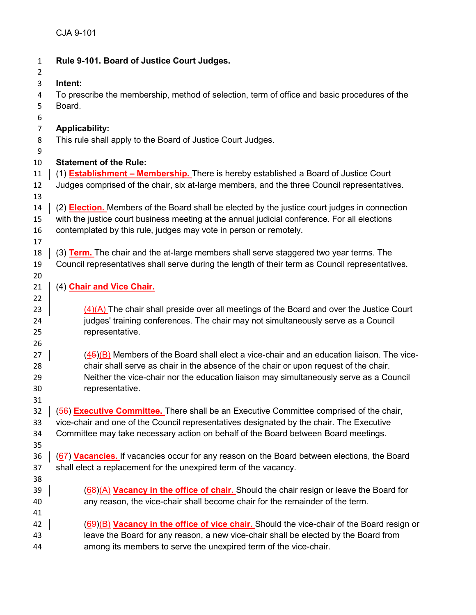| $\mathbf{1}$   | Rule 9-101. Board of Justice Court Judges.                                                           |
|----------------|------------------------------------------------------------------------------------------------------|
| $\overline{2}$ |                                                                                                      |
| 3              | Intent:                                                                                              |
| 4              | To prescribe the membership, method of selection, term of office and basic procedures of the         |
| 5              | Board.                                                                                               |
| 6<br>7         | <b>Applicability:</b>                                                                                |
| 8              | This rule shall apply to the Board of Justice Court Judges.                                          |
| 9              |                                                                                                      |
| 10             | <b>Statement of the Rule:</b>                                                                        |
| 11             | (1) <b>Establishment - Membership.</b> There is hereby established a Board of Justice Court          |
| 12             | Judges comprised of the chair, six at-large members, and the three Council representatives.          |
| 13             |                                                                                                      |
| 14             | (2) <b>Election.</b> Members of the Board shall be elected by the justice court judges in connection |
| 15             | with the justice court business meeting at the annual judicial conference. For all elections         |
| 16             | contemplated by this rule, judges may vote in person or remotely.                                    |
| 17             |                                                                                                      |
| 18             | (3) Term. The chair and the at-large members shall serve staggered two year terms. The               |
| 19             | Council representatives shall serve during the length of their term as Council representatives.      |
| 20             |                                                                                                      |
| 21             | (4) Chair and Vice Chair.                                                                            |
| 22             |                                                                                                      |
| 23             | (4)(A) The chair shall preside over all meetings of the Board and over the Justice Court             |
| 24             | judges' training conferences. The chair may not simultaneously serve as a Council                    |
| 25             | representative.                                                                                      |
| 26             |                                                                                                      |
| 27             | $(45)(B)$ Members of the Board shall elect a vice-chair and an education liaison. The vice-          |
| 28             | chair shall serve as chair in the absence of the chair or upon request of the chair.                 |
| 29             | Neither the vice-chair nor the education liaison may simultaneously serve as a Council               |
| 30             | representative.                                                                                      |
| 31             |                                                                                                      |
| 32             | (56) <b>Executive Committee.</b> There shall be an Executive Committee comprised of the chair,       |
| 33             | vice-chair and one of the Council representatives designated by the chair. The Executive             |
| 34             | Committee may take necessary action on behalf of the Board between Board meetings.                   |
| 35             |                                                                                                      |
| 36             | (67) Vacancies. If vacancies occur for any reason on the Board between elections, the Board          |
| 37             | shall elect a replacement for the unexpired term of the vacancy.                                     |
| 38             |                                                                                                      |
| 39             | (68)(A) Vacancy in the office of chair. Should the chair resign or leave the Board for               |
| 40             | any reason, the vice-chair shall become chair for the remainder of the term.                         |
| 41<br>42       | (69)(B) Vacancy in the office of vice chair. Should the vice-chair of the Board resign or            |
| 43             | leave the Board for any reason, a new vice-chair shall be elected by the Board from                  |
| 44             | among its members to serve the unexpired term of the vice-chair.                                     |
|                |                                                                                                      |